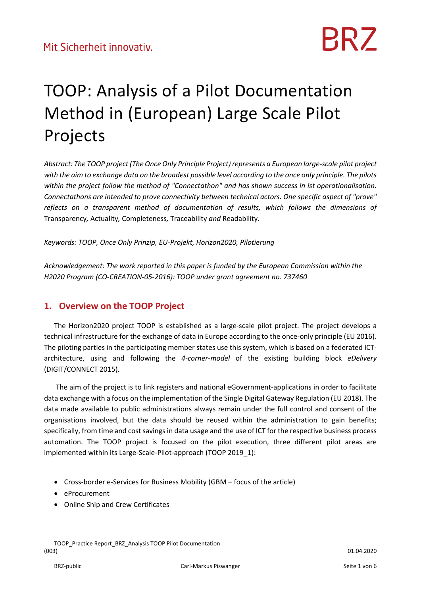### TOOP: Analysis of a Pilot Documentation Method in (European) Large Scale Pilot Projects

*Abstract: The TOOP project (The Once Only Principle Project)represents a European large‐scale pilot project* with the aim to exchange data on the broadest possible level according to the once only principle. The pilots *within the project follow the method of "Connectathon" and has shown success in ist operationalisation. Connectathons are intended to prove connectivity between technical actors. One specific aspect of "prove" reflects on a transparent method of documentation of results, which follows the dimensions of* Transparency*,* Actuality*,* Completeness*,* Traceability *and* Readability.

*Keywords: TOOP, Once Only Prinzip, EU‐Projekt, Horizon2020, Pilotierung* 

*Acknowledgement: The work reported in this paper is funded by the European Commission within the H2020 Program (CO‐CREATION‐05‐2016): TOOP under grant agreement no. 737460* 

### **1. Overview on the TOOP Project**

The Horizon2020 project TOOP is established as a large‐scale pilot project. The project develops a technical infrastructure for the exchange of data in Europe according to the once-only principle (EU 2016). The piloting parties in the participating member states use this system, which is based on a federated ICT‐ architecture, using and following the *4‐corner‐model* of the existing building block *eDelivery* (DIGIT/CONNECT 2015).

The aim of the project is to link registers and national eGovernment‐applications in order to facilitate data exchange with a focus on the implementation of the Single Digital Gateway Regulation (EU 2018). The data made available to public administrations always remain under the full control and consent of the organisations involved, but the data should be reused within the administration to gain benefits; specifically, from time and cost savings in data usage and the use of ICT for the respective business process automation. The TOOP project is focused on the pilot execution, three different pilot areas are implemented within its Large-Scale-Pilot-approach (TOOP 2019\_1):

- Cross-border e-Services for Business Mobility (GBM focus of the article)
- eProcurement
- Online Ship and Crew Certificates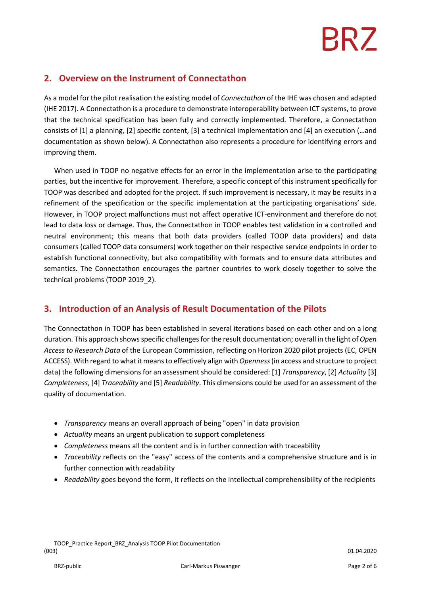# BR7

### **2. Overview on the Instrument of Connectathon**

As a model for the pilot realisation the existing model of *Connectathon* of the IHE was chosen and adapted (IHE 2017). A Connectathon is a procedure to demonstrate interoperability between ICT systems, to prove that the technical specification has been fully and correctly implemented. Therefore, a Connectathon consists of [1] a planning, [2] specific content, [3] a technical implementation and [4] an execution (…and documentation as shown below). A Connectathon also represents a procedure for identifying errors and improving them.

When used in TOOP no negative effects for an error in the implementation arise to the participating parties, but the incentive for improvement. Therefore, a specific concept of this instrument specifically for TOOP was described and adopted for the project. If such improvement is necessary, it may be results in a refinement of the specification or the specific implementation at the participating organisations' side. However, in TOOP project malfunctions must not affect operative ICT‐environment and therefore do not lead to data loss or damage. Thus, the Connectathon in TOOP enables test validation in a controlled and neutral environment; this means that both data providers (called TOOP data providers) and data consumers (called TOOP data consumers) work together on their respective service endpoints in order to establish functional connectivity, but also compatibility with formats and to ensure data attributes and semantics. The Connectathon encourages the partner countries to work closely together to solve the technical problems (TOOP 2019\_2).

### **3. Introduction of an Analysis of Result Documentation of the Pilots**

The Connectathon in TOOP has been established in several iterations based on each other and on a long duration. This approach shows specific challenges for the result documentation; overall in the light of *Open Access to Research Data* of the European Commission, reflecting on Horizon 2020 pilot projects (EC, OPEN ACCESS). With regard to what it meansto effectively align with *Openness*(in access and structure to project data) the following dimensions for an assessment should be considered: [1] *Transparency*, [2] *Actuality* [3] *Completeness*, [4] *Traceability* and [5] *Readability*. This dimensions could be used for an assessment of the quality of documentation.

- *Transparency* means an overall approach of being "open" in data provision
- *Actuality* means an urgent publication to support completeness
- *Completeness* means all the content and is in further connection with traceability
- *Traceability* reflects on the "easy" access of the contents and a comprehensive structure and is in further connection with readability
- *Readability* goes beyond the form, it reflects on the intellectual comprehensibility of the recipients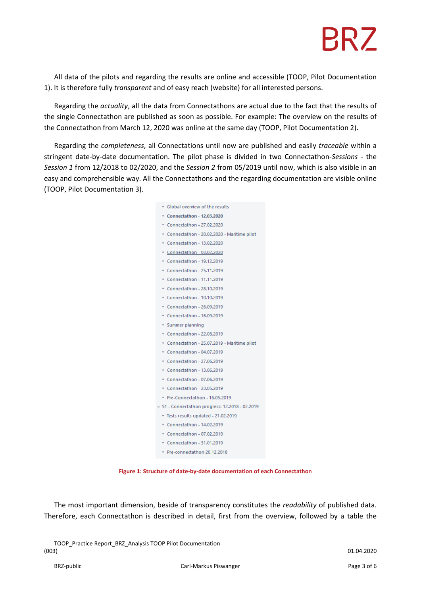# **BRZ**

All data of the pilots and regarding the results are online and accessible (TOOP, Pilot Documentation 1). It is therefore fully *transparent* and of easy reach (website) for all interested persons.

Regarding the *actuality*, all the data from Connectathons are actual due to the fact that the results of the single Connectathon are published as soon as possible. For example: The overview on the results of the Connectathon from March 12, 2020 was online at the same day (TOOP, Pilot Documentation 2).

Regarding the *completeness*, all Connectations until now are published and easily *traceable* within a stringent date‐by‐date documentation. The pilot phase is divided in two Connectathon‐*Sessions* ‐ the *Session 1* from 12/2018 to 02/2020, and the *Session 2* from 05/2019 until now, which is also visible in an easy and comprehensible way. All the Connectathons and the regarding documentation are visible online (TOOP, Pilot Documentation 3).

| Global overview of the results<br>۰                |
|----------------------------------------------------|
| Connectathon - 12.03.2020                          |
| • Connectathon - 27.02.2020                        |
| Connectathon - 20.02.2020 - Maritime pilot<br>٠    |
| Connectathon - 13.02.2020<br>۰                     |
| Connectathon - 03.02.2020<br>۰                     |
| Connectathon - 19.12.2019<br>٠                     |
| Connectathon - 25.11.2019<br>۰                     |
| Connectathon - 11.11.2019<br>۰                     |
| • Connectathon - 28.10.2019                        |
| Connectathon - 10.10.2019<br>۰                     |
| Connectathon - 26.09.2019<br>۰                     |
| • Connectathon - 16.09.2019                        |
| Summer planning<br>٠                               |
| Connectathon - 22.08.2019<br>٠                     |
| Connectathon - 25.07.2019 - Maritime pilot<br>٠    |
| • Connectathon - 04.07.2019                        |
| Connectathon - 27.06.2019<br>٠                     |
| Connectathon - 13.06.2019<br>٠                     |
| • Connectathon - 07,06.2019                        |
| Connectathon - 23.05.2019                          |
| Pre-Connectathon - 16.05.2019                      |
| S1 - Connectathon progress: 12.2018 - 02.2019<br>v |
| Tests results updated - 21.02.2019<br>٠            |
| Connectathon - 14.02.2019<br>٠                     |
| • Connectathon - 07.02.2019                        |
| • Connectathon - 31.01.2019                        |
| Pre-connectathon 20.12.2018<br>۰                   |

**Figure 1: Structure of date‐by‐date documentation of each Connectathon** 

The most important dimension, beside of transparency constitutes the *readability* of published data. Therefore, each Connectathon is described in detail, first from the overview, followed by a table the

TOOP\_Practice Report\_BRZ\_Analysis TOOP Pilot Documentation (003) 01.04.2020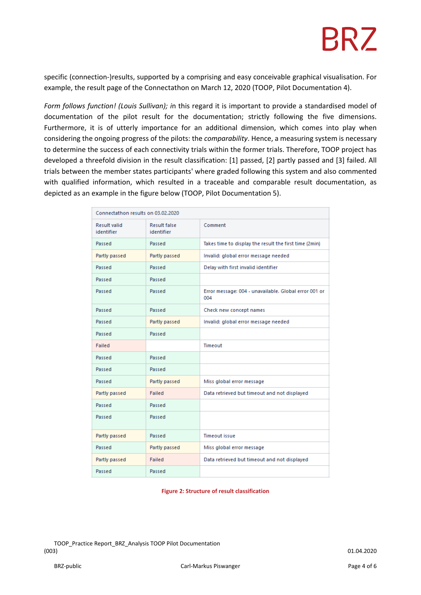# **BRZ**

specific (connection‐)results, supported by a comprising and easy conceivable graphical visualisation. For example, the result page of the Connectathon on March 12, 2020 (TOOP, Pilot Documentation 4).

*Form follows function! (Louis Sullivan); i*n this regard it is important to provide a standardised model of documentation of the pilot result for the documentation; strictly following the five dimensions. Furthermore, it is of utterly importance for an additional dimension, which comes into play when considering the ongoing progress of the pilots: the *comparability*. Hence, a measuring system is necessary to determine the success of each connectivity trials within the former trials. Therefore, TOOP project has developed a threefold division in the result classification: [1] passed, [2] partly passed and [3] failed. All trials between the member states participants' where graded following this system and also commented with qualified information, which resulted in a traceable and comparable result documentation, as depicted as an example in the figure below (TOOP, Pilot Documentation 5).

| Connectathon results on 03.02.2020 |                                   |                                                              |  |
|------------------------------------|-----------------------------------|--------------------------------------------------------------|--|
| <b>Result valid</b><br>identifier  | <b>Result false</b><br>identifier | Comment                                                      |  |
| Passed                             | Passed                            | Takes time to display the result the first time (2min)       |  |
| Partly passed                      | Partly passed                     | Invalid: global error message needed                         |  |
| Passed                             | Passed                            | Delay with first invalid identifier                          |  |
| Passed                             | Passed                            |                                                              |  |
| Passed                             | Passed                            | Error message: 004 - unavailable. Global error 001 or<br>004 |  |
| Passed                             | Passed                            | Check new concept names                                      |  |
| Passed                             | Partly passed                     | Invalid: global error message needed                         |  |
| Passed                             | Passed                            |                                                              |  |
| Failed                             |                                   | Timeout                                                      |  |
| Passed                             | Passed                            |                                                              |  |
| Passed                             | Passed                            |                                                              |  |
| Passed                             | Partly passed                     | Miss global error message                                    |  |
| Partly passed                      | Failed                            | Data retrieved but timeout and not displayed                 |  |
| Passed                             | Passed                            |                                                              |  |
| Passed                             | Passed                            |                                                              |  |
| Partly passed                      | Passed                            | <b>Timeout issue</b>                                         |  |
| Passed                             | Partly passed                     | Miss global error message                                    |  |
| Partly passed                      | Failed                            | Data retrieved but timeout and not displayed                 |  |
| Passed                             | Passed                            |                                                              |  |

#### **Figure 2: Structure of result classification**

TOOP\_Practice Report\_BRZ\_Analysis TOOP Pilot Documentation (003) 01.04.2020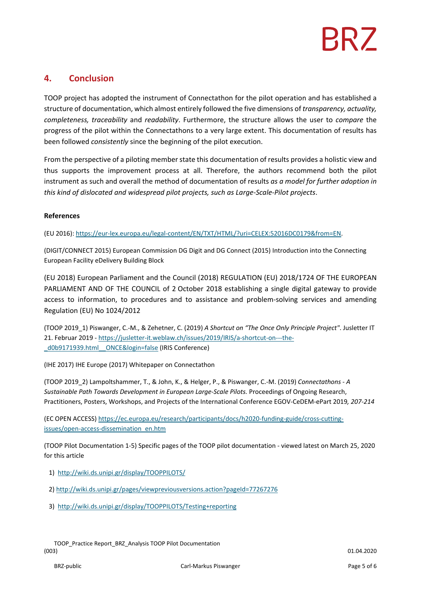### **4. Conclusion**

TOOP project has adopted the instrument of Connectathon for the pilot operation and has established a structure of documentation, which almost entirely followed the five dimensions of *transparency, actuality, completeness, traceability* and *readability*. Furthermore, the structure allows the user to *compare* the progress of the pilot within the Connectathons to a very large extent. This documentation of results has been followed *consistently* since the beginning of the pilot execution.

From the perspective of a piloting member state this documentation of results provides a holistic view and thus supports the improvement process at all. Therefore, the authors recommend both the pilot instrument as such and overall the method of documentation of results *as a model for further adoption in this kind of dislocated and widespread pilot projects, such as Large‐Scale‐Pilot projects*.

#### **References**

(EU 2016): https://eur‐lex.europa.eu/legal‐content/EN/TXT/HTML/?uri=CELEX:52016DC0179&from=EN.

(DIGIT/CONNECT 2015) European Commission DG Digit and DG Connect (2015) Introduction into the Connecting European Facility eDelivery Building Block

(EU 2018) European Parliament and the Council (2018) REGULATION (EU) 2018/1724 OF THE EUROPEAN PARLIAMENT AND OF THE COUNCIL of 2 October 2018 establishing a single digital gateway to provide access to information, to procedures and to assistance and problem‐solving services and amending Regulation (EU) No 1024/2012

(TOOP 2019\_1) Piswanger, C.‐M., & Zehetner, C. (2019) *A Shortcut on "The Once Only Principle Project"*. Jusletter IT 21. Februar 2019 - https://jusletter-it.weblaw.ch/issues/2019/IRIS/a-shortcut-on---thed0b9171939.html ONCE&login=false (IRIS Conference)

(IHE 2017) IHE Europe (2017) Whitepaper on Connectathon

(TOOP 2019\_2) Lampoltshammer, T., & John, K., & Helger, P., & Piswanger, C.‐M. (2019) *Connectathons ‐ A Sustainable Path Towards Development in European Large‐Scale Pilots.* Proceedings of Ongoing Research, Practitioners, Posters, Workshops, and Projects of the International Conference EGOV‐CeDEM‐ePart 2019*, 207‐214*

(EC OPEN ACCESS) https://ec.europa.eu/research/participants/docs/h2020‐funding‐guide/cross‐cutting‐ issues/open-access-dissemination\_en.htm

(TOOP Pilot Documentation 1‐5) Specific pages of the TOOP pilot documentation ‐ viewed latest on March 25, 2020 for this article

- 1) http://wiki.ds.unipi.gr/display/TOOPPILOTS/
- 2) http://wiki.ds.unipi.gr/pages/viewpreviousversions.action?pageId=77267276
- 3) http://wiki.ds.unipi.gr/display/TOOPPILOTS/Testing+reporting